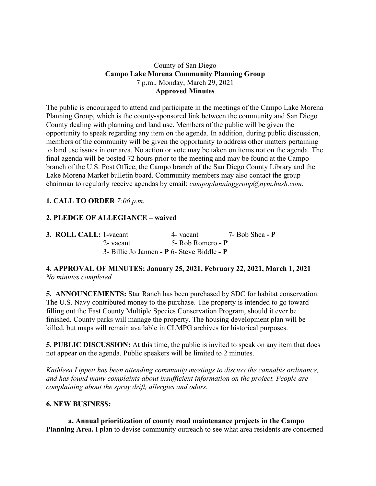### County of San Diego **Campo Lake Morena Community Planning Group** 7 p.m., Monday, March 29, 2021 **Approved Minutes**

The public is encouraged to attend and participate in the meetings of the Campo Lake Morena Planning Group, which is the county-sponsored link between the community and San Diego County dealing with planning and land use. Members of the public will be given the opportunity to speak regarding any item on the agenda. In addition, during public discussion, members of the community will be given the opportunity to address other matters pertaining to land use issues in our area. No action or vote may be taken on items not on the agenda. The final agenda will be posted 72 hours prior to the meeting and may be found at the Campo branch of the U.S. Post Office, the Campo branch of the San Diego County Library and the Lake Morena Market bulletin board. Community members may also contact the group chairman to regularly receive agendas by email: *campoplanninggroup@nym.hush.com*.

# **1. CALL TO ORDER** *7:06 p.m.*

## **2. PLEDGE OF ALLEGIANCE – waived**

| 3. ROLL CALL: 1-vacant | 4- vacant                                   | 7- Bob Shea - $P$ |
|------------------------|---------------------------------------------|-------------------|
| 2- vacant              | 5- Rob Romero - P                           |                   |
|                        | 3- Billie Jo Jannen - P 6- Steve Biddle - P |                   |

## **4. APPROVAL OF MINUTES: January 25, 2021, February 22, 2021, March 1, 2021** *No minutes completed.*

**5. ANNOUNCEMENTS:** Star Ranch has been purchased by SDC for habitat conservation. The U.S. Navy contributed money to the purchase. The property is intended to go toward filling out the East County Multiple Species Conservation Program, should it ever be finished. County parks will manage the property. The housing development plan will be killed, but maps will remain available in CLMPG archives for historical purposes.

**5. PUBLIC DISCUSSION:** At this time, the public is invited to speak on any item that does not appear on the agenda. Public speakers will be limited to 2 minutes.

*Kathleen Lippett has been attending community meetings to discuss the cannabis ordinance, and has found many complaints about insufficient information on the project. People are complaining about the spray drift, allergies and odors.*

#### **6. NEW BUSINESS:**

**a. Annual prioritization of county road maintenance projects in the Campo Planning Area.** I plan to devise community outreach to see what area residents are concerned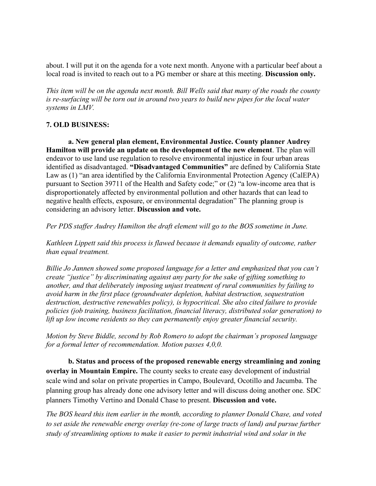about. I will put it on the agenda for a vote next month. Anyone with a particular beef about a local road is invited to reach out to a PG member or share at this meeting. **Discussion only.**

This item will be on the agenda next month. Bill Wells said that many of the roads the county *is re-surfacing will be torn out in around two years to build new pipes for the local water systems in LMV.*

#### **7. OLD BUSINESS:**

**a. New general plan element, Environmental Justice. County planner Audrey Hamilton will provide an update on the development of the new element**. The plan will endeavor to use land use regulation to resolve environmental injustice in four urban areas identified as disadvantaged. **"Disadvantaged Communities"** are defined by California State Law as (1) "an area identified by the California Environmental Protection Agency (CalEPA) pursuant to Section 39711 of the Health and Safety code;" or (2) "a low-income area that is disproportionately affected by environmental pollution and other hazards that can lead to negative health effects, exposure, or environmental degradation" The planning group is considering an advisory letter. **Discussion and vote.**

*Per PDS staffer Audrey Hamilton the draft element will go to the BOS sometime in June.*

*Kathleen Lippett said this process is flawed because it demands equality of outcome, rather than equal treatment.*

*Billie Jo Jannen showed some proposed language for a letter and emphasized that you can't create "justice" by discriminating against any party for the sake of gifting something to another, and that deliberately imposing unjust treatment of rural communities by failing to avoid harm in the first place (groundwater depletion, habitat destruction, sequestration destruction, destructive renewables policy), is hypocritical. She also cited failure to provide policies (job training, business facilitation, financial literacy, distributed solar generation) to lift up low income residents so they can permanently enjoy greater financial security.*

*Motion by Steve Biddle, second by Rob Romero to adopt the chairman's proposed language for a formal letter of recommendation. Motion passes 4,0,0.*

**b. Status and process of the proposed renewable energy streamlining and zoning overlay in Mountain Empire.** The county seeks to create easy development of industrial scale wind and solar on private properties in Campo, Boulevard, Ocotillo and Jacumba. The planning group has already done one advisory letter and will discuss doing another one. SDC planners Timothy Vertino and Donald Chase to present. **Discussion and vote.**

*The BOS heard this item earlier in the month, according to planner Donald Chase, and voted to set aside the renewable energy overlay (re-zone of large tracts of land) and pursue further study of streamlining options to make it easier to permit industrial wind and solar in the*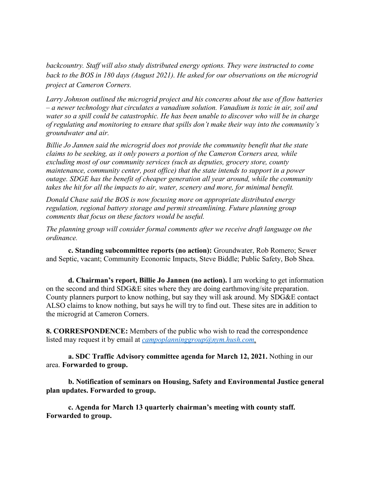*backcountry. Staff will also study distributed energy options. They were instructed to come back to the BOS in 180 days (August 2021). He asked for our observations on the microgrid project at Cameron Corners.*

*Larry Johnson outlined the microgrid project and his concerns about the use of flow batteries – a newer technology that circulates a vanadium solution. Vanadium is toxic in air, soil and water so a spill could be catastrophic. He has been unable to discover who will be in charge of regulating and monitoring to ensure that spills don't make their way into the community's groundwater and air.*

*Billie Jo Jannen said the microgrid does not provide the community benefit that the state claims to be seeking, as it only powers a portion of the Cameron Corners area, while excluding most of our community services (such as deputies, grocery store, county maintenance, community center, post office) that the state intends to support in a power outage. SDGE has the benefit of cheaper generation all year around, while the community takes the hit for all the impacts to air, water, scenery and more, for minimal benefit.*

*Donald Chase said the BOS is now focusing more on appropriate distributed energy regulation, regional battery storage and permit streamlining. Future planning group comments that focus on these factors would be useful.*

*The planning group will consider formal comments after we receive draft language on the ordinance.*

**c. Standing subcommittee reports (no action):** Groundwater, Rob Romero; Sewer and Septic, vacant; Community Economic Impacts, Steve Biddle; Public Safety, Bob Shea.

**d. Chairman's report, Billie Jo Jannen (no action).** I am working to get information on the second and third SDG&E sites where they are doing earthmoving/site preparation. County planners purport to know nothing, but say they will ask around. My SDG&E contact ALSO claims to know nothing, but says he will try to find out. These sites are in addition to the microgrid at Cameron Corners.

**8. CORRESPONDENCE:** Members of the public who wish to read the correspondence listed may request it by email at *campoplanninggroup@nym.hush.com.*

**a. SDC Traffic Advisory committee agenda for March 12, 2021.** Nothing in our area. **Forwarded to group.**

**b. Notification of seminars on Housing, Safety and Environmental Justice general plan updates. Forwarded to group.**

**c. Agenda for March 13 quarterly chairman's meeting with county staff. Forwarded to group.**